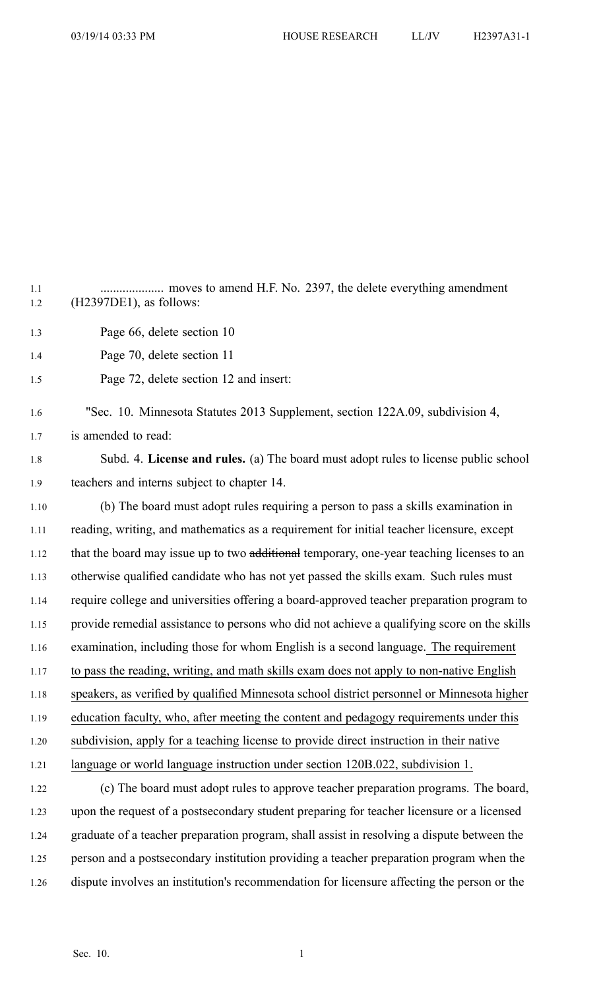1.1 .................... moves to amend H.F. No. 2397, the delete everything amendment 1.2 (H2397DE1), as follows: 1.3 Page 66, delete section 10 1.4 Page 70, delete section 11 1.5 Page 72, delete section 12 and insert: 1.6 "Sec. 10. Minnesota Statutes 2013 Supplement, section 122A.09, subdivision 4, 1.7 is amended to read: 1.8 Subd. 4. **License and rules.** (a) The board must adopt rules to license public school 1.9 teachers and interns subject to chapter 14. 1.10 (b) The board must adopt rules requiring <sup>a</sup> person to pass <sup>a</sup> skills examination in 1.11 reading, writing, and mathematics as <sup>a</sup> requirement for initial teacher licensure, excep<sup>t</sup> 1.12 that the board may issue up to two additional temporary, one-year teaching licenses to an 1.13 otherwise qualified candidate who has not ye<sup>t</sup> passed the skills exam. Such rules must 1.14 require college and universities offering <sup>a</sup> board-approved teacher preparation program to 1.15 provide remedial assistance to persons who did not achieve <sup>a</sup> qualifying score on the skills 1.16 examination, including those for whom English is <sup>a</sup> second language. The requirement 1.17 to pass the reading, writing, and math skills exam does not apply to non-native English 1.18 speakers, as verified by qualified Minnesota school district personnel or Minnesota higher 1.19 education faculty, who, after meeting the content and pedagogy requirements under this 1.20 subdivision, apply for <sup>a</sup> teaching license to provide direct instruction in their native 1.21 language or world language instruction under section 120B.022, subdivision 1. 1.22 (c) The board must adopt rules to approve teacher preparation programs. The board, 1.23 upon the reques<sup>t</sup> of <sup>a</sup> postsecondary student preparing for teacher licensure or <sup>a</sup> licensed 1.24 graduate of <sup>a</sup> teacher preparation program, shall assist in resolving <sup>a</sup> dispute between the 1.25 person and <sup>a</sup> postsecondary institution providing <sup>a</sup> teacher preparation program when the 1.26 dispute involves an institution's recommendation for licensure affecting the person or the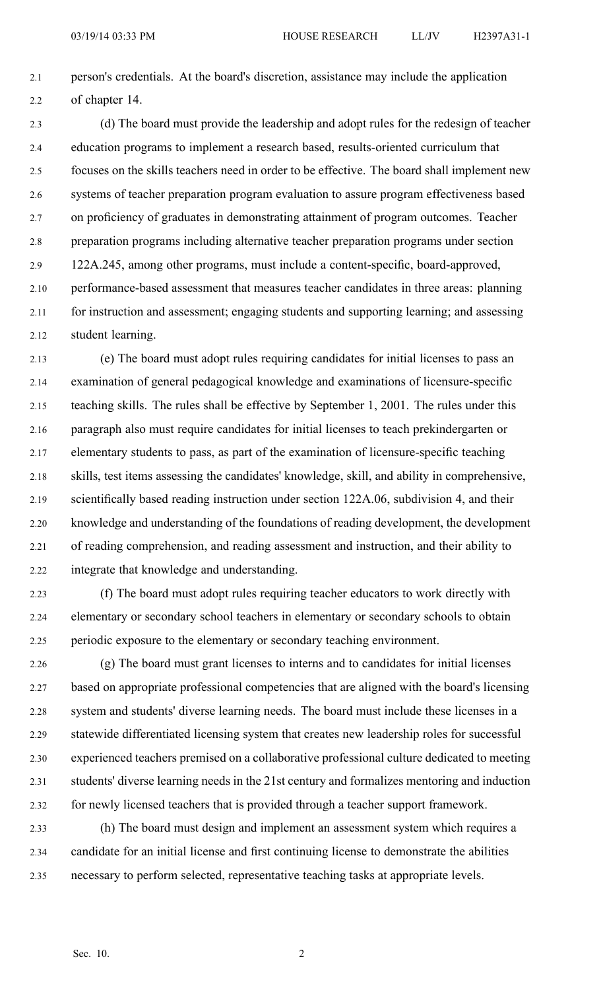2.1 person's credentials. At the board's discretion, assistance may include the application 2.2 of chapter 14.

2.3 (d) The board must provide the leadership and adopt rules for the redesign of teacher 2.4 education programs to implement <sup>a</sup> research based, results-oriented curriculum that 2.5 focuses on the skills teachers need in order to be effective. The board shall implement new 2.6 systems of teacher preparation program evaluation to assure program effectiveness based 2.7 on proficiency of graduates in demonstrating attainment of program outcomes. Teacher 2.8 preparation programs including alternative teacher preparation programs under section 2.9 122A.245, among other programs, must include <sup>a</sup> content-specific, board-approved, 2.10 performance-based assessment that measures teacher candidates in three areas: planning 2.11 for instruction and assessment; engaging students and supporting learning; and assessing 2.12 student learning.

2.13 (e) The board must adopt rules requiring candidates for initial licenses to pass an 2.14 examination of general pedagogical knowledge and examinations of licensure-specific 2.15 teaching skills. The rules shall be effective by September 1, 2001. The rules under this 2.16 paragraph also must require candidates for initial licenses to teach prekindergarten or 2.17 elementary students to pass, as par<sup>t</sup> of the examination of licensure-specific teaching 2.18 skills, test items assessing the candidates' knowledge, skill, and ability in comprehensive, 2.19 scientifically based reading instruction under section 122A.06, subdivision 4, and their 2.20 knowledge and understanding of the foundations of reading development, the development 2.21 of reading comprehension, and reading assessment and instruction, and their ability to 2.22 integrate that knowledge and understanding.

2.23 (f) The board must adopt rules requiring teacher educators to work directly with 2.24 elementary or secondary school teachers in elementary or secondary schools to obtain 2.25 periodic exposure to the elementary or secondary teaching environment.

2.26 (g) The board must gran<sup>t</sup> licenses to interns and to candidates for initial licenses 2.27 based on appropriate professional competencies that are aligned with the board's licensing 2.28 system and students' diverse learning needs. The board must include these licenses in <sup>a</sup> 2.29 statewide differentiated licensing system that creates new leadership roles for successful 2.30 experienced teachers premised on <sup>a</sup> collaborative professional culture dedicated to meeting 2.31 students' diverse learning needs in the 21st century and formalizes mentoring and induction 2.32 for newly licensed teachers that is provided through <sup>a</sup> teacher suppor<sup>t</sup> framework.

2.33 (h) The board must design and implement an assessment system which requires <sup>a</sup> 2.34 candidate for an initial license and first continuing license to demonstrate the abilities 2.35 necessary to perform selected, representative teaching tasks at appropriate levels.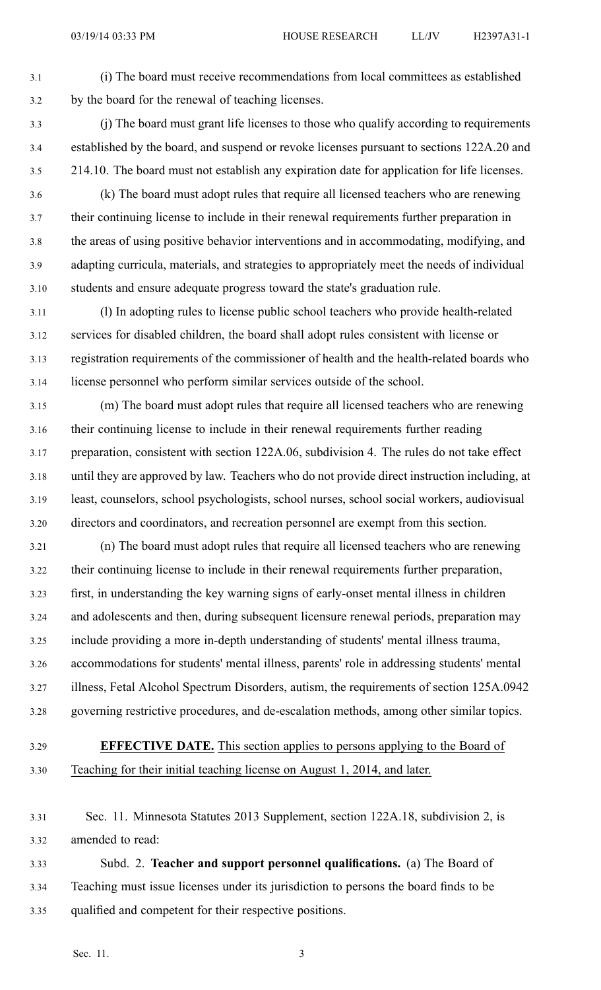- 3.1 (i) The board must receive recommendations from local committees as established 3.2 by the board for the renewal of teaching licenses.
- 3.3 (j) The board must gran<sup>t</sup> life licenses to those who qualify according to requirements 3.4 established by the board, and suspend or revoke licenses pursuan<sup>t</sup> to sections 122A.20 and 3.5 214.10. The board must not establish any expiration date for application for life licenses.
- 3.6 (k) The board must adopt rules that require all licensed teachers who are renewing 3.7 their continuing license to include in their renewal requirements further preparation in 3.8 the areas of using positive behavior interventions and in accommodating, modifying, and 3.9 adapting curricula, materials, and strategies to appropriately meet the needs of individual 3.10 students and ensure adequate progress toward the state's graduation rule.
- 3.11 (l) In adopting rules to license public school teachers who provide health-related 3.12 services for disabled children, the board shall adopt rules consistent with license or 3.13 registration requirements of the commissioner of health and the health-related boards who 3.14 license personnel who perform similar services outside of the school.
- 3.15 (m) The board must adopt rules that require all licensed teachers who are renewing 3.16 their continuing license to include in their renewal requirements further reading 3.17 preparation, consistent with section 122A.06, subdivision 4. The rules do not take effect 3.18 until they are approved by law. Teachers who do not provide direct instruction including, at 3.19 least, counselors, school psychologists, school nurses, school social workers, audiovisual 3.20 directors and coordinators, and recreation personnel are exemp<sup>t</sup> from this section.
- 3.21 (n) The board must adopt rules that require all licensed teachers who are renewing 3.22 their continuing license to include in their renewal requirements further preparation, 3.23 first, in understanding the key warning signs of early-onset mental illness in children 3.24 and adolescents and then, during subsequent licensure renewal periods, preparation may 3.25 include providing <sup>a</sup> more in-depth understanding of students' mental illness trauma, 3.26 accommodations for students' mental illness, parents' role in addressing students' mental 3.27 illness, Fetal Alcohol Spectrum Disorders, autism, the requirements of section 125A.0942 3.28 governing restrictive procedures, and de-escalation methods, among other similar topics.

## 3.29 **EFFECTIVE DATE.** This section applies to persons applying to the Board of 3.30 Teaching for their initial teaching license on August 1, 2014, and later.

- 3.31 Sec. 11. Minnesota Statutes 2013 Supplement, section 122A.18, subdivision 2, is 3.32 amended to read:
- 3.33 Subd. 2. **Teacher and suppor<sup>t</sup> personnel qualifications.** (a) The Board of 3.34 Teaching must issue licenses under its jurisdiction to persons the board finds to be 3.35 qualified and competent for their respective positions.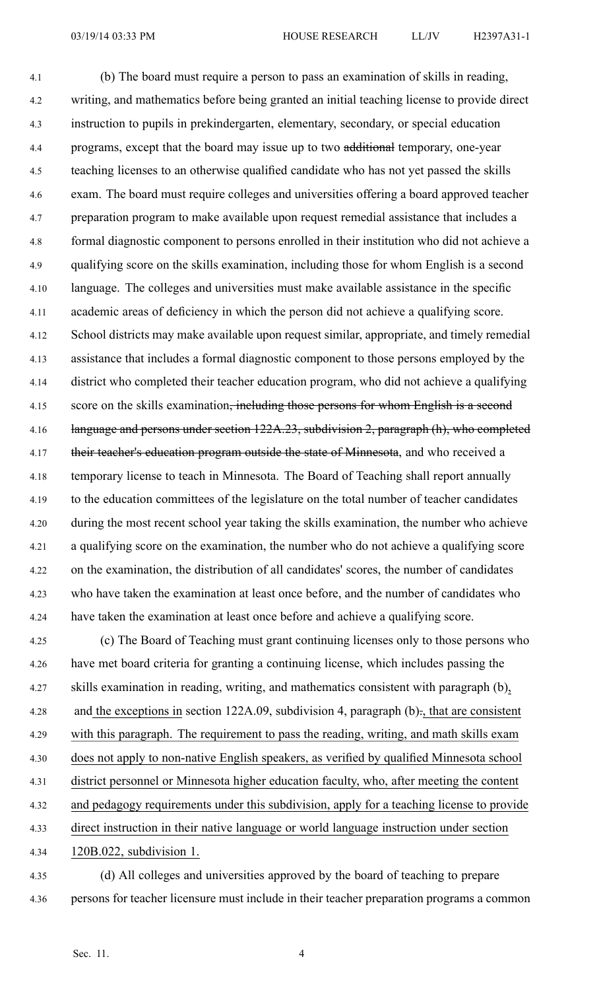4.1 (b) The board must require <sup>a</sup> person to pass an examination of skills in reading, 4.2 writing, and mathematics before being granted an initial teaching license to provide direct 4.3 instruction to pupils in prekindergarten, elementary, secondary, or special education 4.4 programs, except that the board may issue up to two additional temporary, one-year 4.5 teaching licenses to an otherwise qualified candidate who has not ye<sup>t</sup> passed the skills 4.6 exam. The board must require colleges and universities offering <sup>a</sup> board approved teacher 4.7 preparation program to make available upon reques<sup>t</sup> remedial assistance that includes <sup>a</sup> 4.8 formal diagnostic componen<sup>t</sup> to persons enrolled in their institution who did not achieve <sup>a</sup> 4.9 qualifying score on the skills examination, including those for whom English is <sup>a</sup> second 4.10 language. The colleges and universities must make available assistance in the specific 4.11 academic areas of deficiency in which the person did not achieve <sup>a</sup> qualifying score. 4.12 School districts may make available upon reques<sup>t</sup> similar, appropriate, and timely remedial 4.13 assistance that includes <sup>a</sup> formal diagnostic componen<sup>t</sup> to those persons employed by the 4.14 district who completed their teacher education program, who did not achieve <sup>a</sup> qualifying 4.15 score on the skills examination<del>, including those persons for whom English is a second</del> 4.16 language and persons under section 122A.23, subdivision 2, paragraph (h), who completed 4.17 their teacher's education program outside the state of Minnesota, and who received a 4.18 temporary license to teach in Minnesota. The Board of Teaching shall repor<sup>t</sup> annually 4.19 to the education committees of the legislature on the total number of teacher candidates 4.20 during the most recent school year taking the skills examination, the number who achieve 4.21 <sup>a</sup> qualifying score on the examination, the number who do not achieve <sup>a</sup> qualifying score 4.22 on the examination, the distribution of all candidates' scores, the number of candidates 4.23 who have taken the examination at least once before, and the number of candidates who 4.24 have taken the examination at least once before and achieve <sup>a</sup> qualifying score.

4.25 (c) The Board of Teaching must gran<sup>t</sup> continuing licenses only to those persons who 4.26 have met board criteria for granting <sup>a</sup> continuing license, which includes passing the 4.27 skills examination in reading, writing, and mathematics consistent with paragraph (b), 4.28 and the exceptions in section 122A.09, subdivision 4, paragraph (b)., that are consistent 4.29 with this paragraph. The requirement to pass the reading, writing, and math skills exam 4.30 does not apply to non-native English speakers, as verified by qualified Minnesota school 4.31 district personnel or Minnesota higher education faculty, who, after meeting the content 4.32 and pedagogy requirements under this subdivision, apply for <sup>a</sup> teaching license to provide 4.33 direct instruction in their native language or world language instruction under section 4.34 120B.022, subdivision 1.

4.35 (d) All colleges and universities approved by the board of teaching to prepare 4.36 persons for teacher licensure must include in their teacher preparation programs <sup>a</sup> common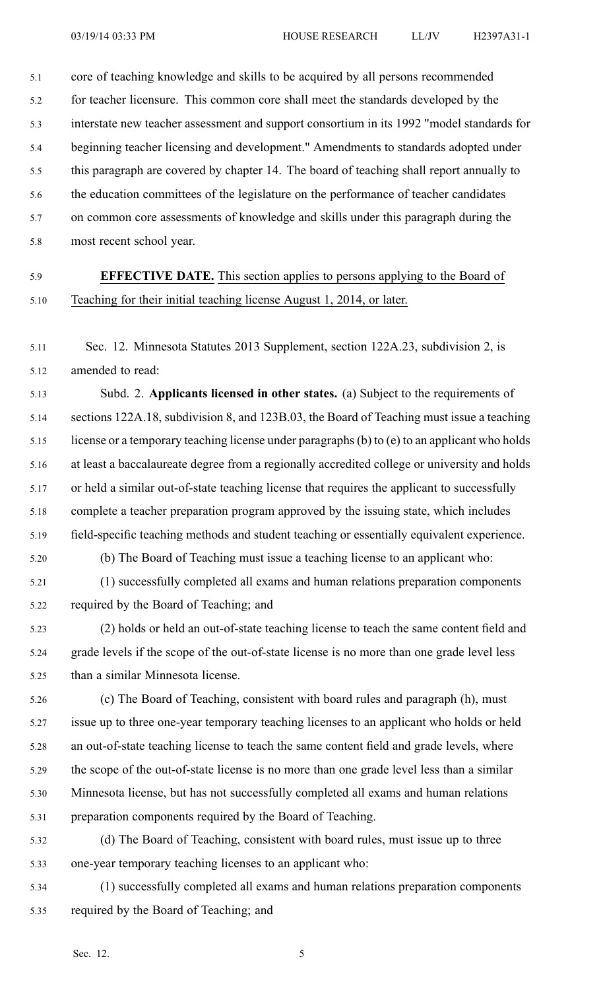5.1 core of teaching knowledge and skills to be acquired by all persons recommended 5.2 for teacher licensure. This common core shall meet the standards developed by the 5.3 interstate new teacher assessment and suppor<sup>t</sup> consortium in its 1992 "model standards for 5.4 beginning teacher licensing and development." Amendments to standards adopted under 5.5 this paragraph are covered by chapter 14. The board of teaching shall repor<sup>t</sup> annually to 5.6 the education committees of the legislature on the performance of teacher candidates 5.7 on common core assessments of knowledge and skills under this paragraph during the

- 5.8 most recent school year.
- 5.9 **EFFECTIVE DATE.** This section applies to persons applying to the Board of 5.10 Teaching for their initial teaching license August 1, 2014, or later.
- 5.11 Sec. 12. Minnesota Statutes 2013 Supplement, section 122A.23, subdivision 2, is 5.12 amended to read:

5.13 Subd. 2. **Applicants licensed in other states.** (a) Subject to the requirements of 5.14 sections 122A.18, subdivision 8, and 123B.03, the Board of Teaching must issue <sup>a</sup> teaching 5.15 license or <sup>a</sup> temporary teaching license under paragraphs(b) to (e) to an applicant who holds 5.16 at least <sup>a</sup> baccalaureate degree from <sup>a</sup> regionally accredited college or university and holds 5.17 or held <sup>a</sup> similar out-of-state teaching license that requires the applicant to successfully 5.18 complete <sup>a</sup> teacher preparation program approved by the issuing state, which includes 5.19 field-specific teaching methods and student teaching or essentially equivalent experience. 5.20 (b) The Board of Teaching must issue <sup>a</sup> teaching license to an applicant who:

- 5.21 (1) successfully completed all exams and human relations preparation components 5.22 required by the Board of Teaching; and
- 5.23 (2) holds or held an out-of-state teaching license to teach the same content field and 5.24 grade levels if the scope of the out-of-state license is no more than one grade level less 5.25 than <sup>a</sup> similar Minnesota license.
- 5.26 (c) The Board of Teaching, consistent with board rules and paragraph (h), must 5.27 issue up to three one-year temporary teaching licenses to an applicant who holds or held 5.28 an out-of-state teaching license to teach the same content field and grade levels, where 5.29 the scope of the out-of-state license is no more than one grade level less than <sup>a</sup> similar 5.30 Minnesota license, but has not successfully completed all exams and human relations 5.31 preparation components required by the Board of Teaching.
- 5.32 (d) The Board of Teaching, consistent with board rules, must issue up to three 5.33 one-year temporary teaching licenses to an applicant who:
- 5.34 (1) successfully completed all exams and human relations preparation components 5.35 required by the Board of Teaching; and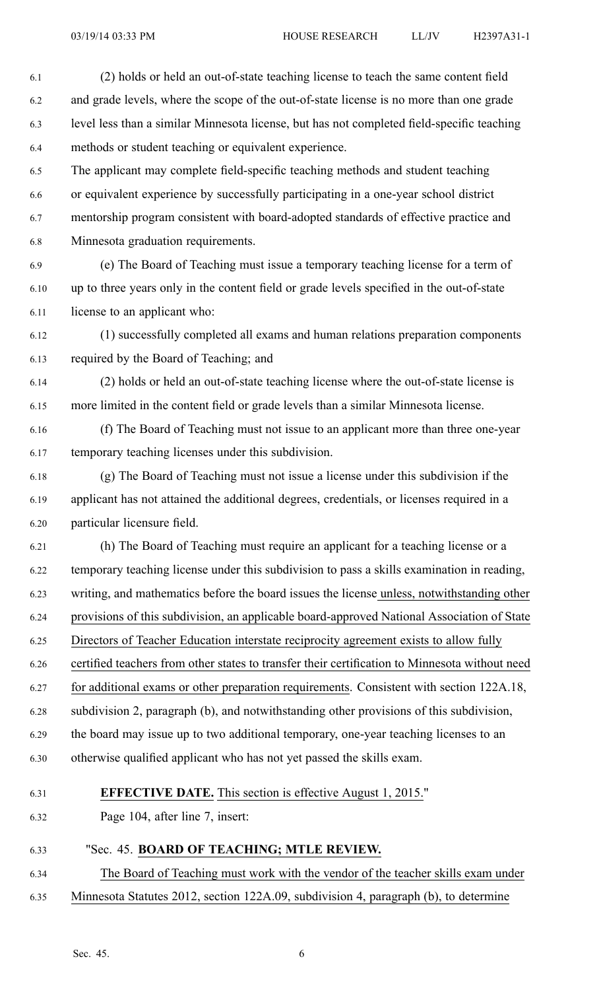6.1 (2) holds or held an out-of-state teaching license to teach the same content field 6.2 and grade levels, where the scope of the out-of-state license is no more than one grade 6.3 level less than <sup>a</sup> similar Minnesota license, but has not completed field-specific teaching 6.4 methods or student teaching or equivalent experience.

6.5 The applicant may complete field-specific teaching methods and student teaching 6.6 or equivalent experience by successfully participating in <sup>a</sup> one-year school district 6.7 mentorship program consistent with board-adopted standards of effective practice and 6.8 Minnesota graduation requirements.

6.9 (e) The Board of Teaching must issue <sup>a</sup> temporary teaching license for <sup>a</sup> term of 6.10 up to three years only in the content field or grade levels specified in the out-of-state 6.11 license to an applicant who:

6.12 (1) successfully completed all exams and human relations preparation components 6.13 required by the Board of Teaching; and

6.14 (2) holds or held an out-of-state teaching license where the out-of-state license is 6.15 more limited in the content field or grade levels than <sup>a</sup> similar Minnesota license.

6.16 (f) The Board of Teaching must not issue to an applicant more than three one-year 6.17 temporary teaching licenses under this subdivision.

6.18 (g) The Board of Teaching must not issue <sup>a</sup> license under this subdivision if the 6.19 applicant has not attained the additional degrees, credentials, or licenses required in <sup>a</sup> 6.20 particular licensure field.

6.21 (h) The Board of Teaching must require an applicant for <sup>a</sup> teaching license or <sup>a</sup> 6.22 temporary teaching license under this subdivision to pass <sup>a</sup> skills examination in reading, 6.23 writing, and mathematics before the board issues the license unless, notwithstanding other 6.24 provisions of this subdivision, an applicable board-approved National Association of State 6.25 Directors of Teacher Education interstate reciprocity agreemen<sup>t</sup> exists to allow fully 6.26 certified teachers from other states to transfer their certification to Minnesota without need 6.27 for additional exams or other preparation requirements. Consistent with section 122A.18,

6.28 subdivision 2, paragraph (b), and notwithstanding other provisions of this subdivision, 6.29 the board may issue up to two additional temporary, one-year teaching licenses to an

6.30 otherwise qualified applicant who has not ye<sup>t</sup> passed the skills exam.

## 6.31 **EFFECTIVE DATE.** This section is effective August 1, 2015."

6.32 Page 104, after line 7, insert:

## 6.33 "Sec. 45. **BOARD OF TEACHING; MTLE REVIEW.**

6.34 The Board of Teaching must work with the vendor of the teacher skills exam under 6.35 Minnesota Statutes 2012, section 122A.09, subdivision 4, paragraph (b), to determine